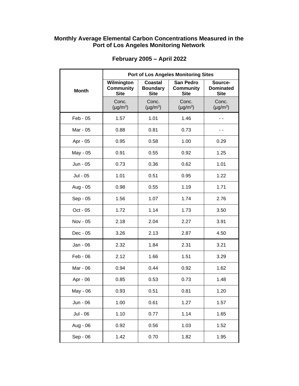## **Monthly Average Elemental Carbon Concentrations Measured in the Port of Los Angeles Monitoring Network**

|              | <b>Port of Los Angeles Monitoring Sites</b>   |                                           |                                                     |                                            |  |
|--------------|-----------------------------------------------|-------------------------------------------|-----------------------------------------------------|--------------------------------------------|--|
| <b>Month</b> | Wilmington<br><b>Community</b><br><b>Site</b> | Coastal<br><b>Boundary</b><br><b>Site</b> | <b>San Pedro</b><br><b>Community</b><br><b>Site</b> | Source-<br><b>Dominated</b><br><b>Site</b> |  |
|              | Conc.<br>$(\mu g/m^3)$                        | Conc.<br>$(\mu g/m^3)$                    | Conc.<br>$(\mu g/m^3)$                              | Conc.<br>$(\mu g/m^3)$                     |  |
| $Feb - 05$   | 1.57                                          | 1.01                                      | 1.46                                                |                                            |  |
| Mar - 05     | 0.88                                          | 0.81                                      | 0.73                                                | ۰.                                         |  |
| Apr - 05     | 0.95                                          | 0.58                                      | 1.00                                                | 0.29                                       |  |
| May - 05     | 0.91                                          | 0.55                                      | 0.92                                                | 1.25                                       |  |
| Jun - 05     | 0.73                                          | 0.36                                      | 0.62                                                | 1.01                                       |  |
| Jul - 05     | 1.01                                          | 0.51                                      | 0.95                                                | 1.22                                       |  |
| Aug - 05     | 0.98                                          | 0.55                                      | 1.19                                                | 1.71                                       |  |
| Sep - 05     | 1.56                                          | 1.07                                      | 1.74                                                | 2.76                                       |  |
| Oct - 05     | 1.72                                          | 1.14                                      | 1.73                                                | 3.50                                       |  |
| Nov - 05     | 2.18                                          | 2.04                                      | 2.27                                                | 3.91                                       |  |
| Dec - 05     | 3.26                                          | 2.13                                      | 2.87                                                | 4.50                                       |  |
| Jan - 06     | 2.32                                          | 1.84                                      | 2.31                                                | 3.21                                       |  |
| Feb - 06     | 2.12                                          | 1.66                                      | 1.51                                                | 3.29                                       |  |
| Mar - 06     | 0.94                                          | 0.44                                      | 0.92                                                | 1.62                                       |  |
| Apr - 06     | 0.85                                          | 0.53                                      | 0.73                                                | 1.48                                       |  |
| May - 06     | 0.93                                          | 0.51                                      | 0.81                                                | 1.20                                       |  |
| Jun - 06     | 1.00                                          | 0.61                                      | 1.27                                                | 1.57                                       |  |
| Jul - 06     | 1.10                                          | 0.77                                      | 1.14                                                | 1.65                                       |  |
| Aug - 06     | 0.92                                          | 0.56                                      | 1.03                                                | 1.52                                       |  |
| Sep - 06     | 1.42                                          | 0.70                                      | 1.82                                                | 1.95                                       |  |

## **February 2005 – April 2022**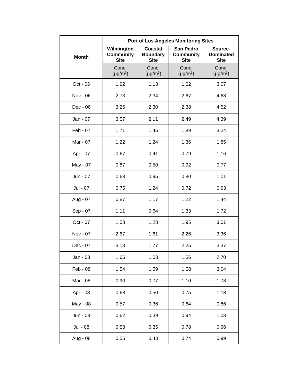|              | <b>Port of Los Angeles Monitoring Sites</b>   |                                                  |                                                     |                                            |  |
|--------------|-----------------------------------------------|--------------------------------------------------|-----------------------------------------------------|--------------------------------------------|--|
| <b>Month</b> | Wilmington<br><b>Community</b><br><b>Site</b> | <b>Coastal</b><br><b>Boundary</b><br><b>Site</b> | <b>San Pedro</b><br><b>Community</b><br><b>Site</b> | Source-<br><b>Dominated</b><br><b>Site</b> |  |
|              | Conc.<br>$(\mu g/m^3)$                        | Conc.<br>$(\mu g/m^3)$                           | Conc.<br>$(\mu g/m^3)$                              | Conc.<br>$(\mu g/m^3)$                     |  |
| Oct - 06     | 1.92                                          | 1.13                                             | 1.62                                                | 3.07                                       |  |
| Nov - 06     | 2.73                                          | 2.34                                             | 2.67                                                | 4.68                                       |  |
| Dec - 06     | 3.26                                          | 2.30                                             | 2.38                                                | 4.52                                       |  |
| Jan - 07     | 3.57                                          | 2.11                                             | 2.49                                                | 4.39                                       |  |
| Feb - 07     | 1.71                                          | 1.45                                             | 1.89                                                | 3.24                                       |  |
| Mar - 07     | 1.22                                          | 1.24                                             | 1.36                                                | 1.85                                       |  |
| Apr - 07     | 0.67                                          | 0.41                                             | 0.79                                                | 1.16                                       |  |
| May - 07     | 0.87                                          | 0.50                                             | 0.92                                                | 0.77                                       |  |
| Jun - 07     | 0.68                                          | 0.95                                             | 0.80                                                | 1.01                                       |  |
| Jul - 07     | 0.75                                          | 1.24                                             | 0.72                                                | 0.93                                       |  |
| Aug - 07     | 0.87                                          | 1.17                                             | 1.22                                                | 1.44                                       |  |
| Sep - 07     | 1.11                                          | 0.64                                             | 1.33                                                | 1.72                                       |  |
| Oct - 07     | 1.58                                          | 1.28                                             | 1.95                                                | 3.01                                       |  |
| Nov - 07     | 2.67                                          | 1.61                                             | 2.26                                                | 3.36                                       |  |
| Dec - 07     | 3.13                                          | 1.77                                             | 2.25                                                | 3.37                                       |  |
| Jan - 08     | 1.66                                          | 1.03                                             | 1.56                                                | 2.70                                       |  |
| Feb - 08     | 1.54                                          | 1.59                                             | 1.58                                                | 3.04                                       |  |
| Mar - 08     | 0.90                                          | 0.77                                             | 1.10                                                | 1.78                                       |  |
| Apr - 08     | 0.68                                          | 0.50                                             | 0.75                                                | 1.18                                       |  |
| May - 08     | 0.57                                          | 0.36                                             | 0.64                                                | 0.86                                       |  |
| Jun - 08     | 0.62                                          | 0.39                                             | 0.94                                                | 1.08                                       |  |
| Jul - 08     | 0.53                                          | 0.35                                             | 0.78                                                | 0.96                                       |  |
| Aug - 08     | 0.55                                          | 0.43                                             | 0.74                                                | 0.99                                       |  |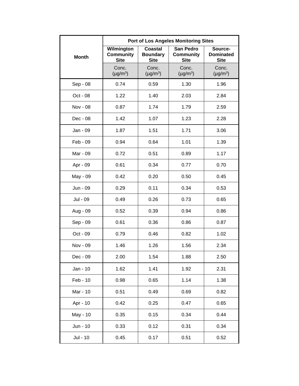|              | <b>Port of Los Angeles Monitoring Sites</b>   |                                                  |                                                     |                                            |  |
|--------------|-----------------------------------------------|--------------------------------------------------|-----------------------------------------------------|--------------------------------------------|--|
| <b>Month</b> | Wilmington<br><b>Community</b><br><b>Site</b> | <b>Coastal</b><br><b>Boundary</b><br><b>Site</b> | <b>San Pedro</b><br><b>Community</b><br><b>Site</b> | Source-<br><b>Dominated</b><br><b>Site</b> |  |
|              | Conc.<br>$(\mu g/m^3)$                        | Conc.<br>$(\mu g/m^3)$                           | Conc.<br>$(\mu g/m^3)$                              | Conc.<br>$(\mu g/m^3)$                     |  |
| Sep - 08     | 0.74                                          | 0.59                                             | 1.30                                                | 1.96                                       |  |
| Oct - 08     | 1.22                                          | 1.40                                             | 2.03                                                | 2.84                                       |  |
| Nov - 08     | 0.87                                          | 1.74                                             | 1.79                                                | 2.59                                       |  |
| Dec - 08     | 1.42                                          | 1.07                                             | 1.23                                                | 2.28                                       |  |
| Jan - 09     | 1.87                                          | 1.51                                             | 1.71                                                | 3.06                                       |  |
| Feb - 09     | 0.94                                          | 0.64                                             | 1.01                                                | 1.39                                       |  |
| Mar - 09     | 0.72                                          | 0.51                                             | 0.89                                                | 1.17                                       |  |
| Apr - 09     | 0.61                                          | 0.34                                             | 0.77                                                | 0.70                                       |  |
| May - 09     | 0.42                                          | 0.20                                             | 0.50                                                | 0.45                                       |  |
| Jun - 09     | 0.29                                          | 0.11                                             | 0.34                                                | 0.53                                       |  |
| Jul - 09     | 0.49                                          | 0.26                                             | 0.73                                                | 0.65                                       |  |
| Aug - 09     | 0.52                                          | 0.39                                             | 0.94                                                | 0.86                                       |  |
| Sep - 09     | 0.61                                          | 0.36                                             | 0.86                                                | 0.87                                       |  |
| Oct - 09     | 0.79                                          | 0.46                                             | 0.82                                                | 1.02                                       |  |
| Nov - 09     | 1.46                                          | 1.26                                             | 1.56                                                | 2.34                                       |  |
| Dec - 09     | 2.00                                          | 1.54                                             | 1.88                                                | 2.50                                       |  |
| Jan - 10     | 1.62                                          | 1.41                                             | 1.92                                                | 2.31                                       |  |
| Feb - 10     | 0.98                                          | 0.65                                             | 1.14                                                | 1.38                                       |  |
| Mar - 10     | 0.51                                          | 0.49                                             | 0.69                                                | 0.82                                       |  |
| Apr - 10     | 0.42                                          | 0.25                                             | 0.47                                                | 0.65                                       |  |
| May - 10     | 0.35                                          | 0.15                                             | 0.34                                                | 0.44                                       |  |
| Jun - 10     | 0.33                                          | 0.12                                             | 0.31                                                | 0.34                                       |  |
| Jul - 10     | 0.45                                          | 0.17                                             | 0.51                                                | 0.52                                       |  |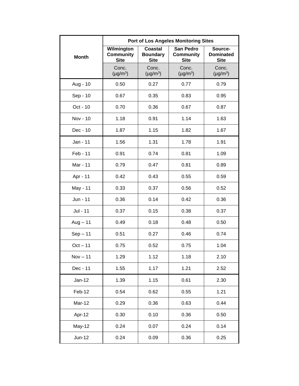|               | <b>Port of Los Angeles Monitoring Sites</b>   |                                                  |                                                     |                                            |  |
|---------------|-----------------------------------------------|--------------------------------------------------|-----------------------------------------------------|--------------------------------------------|--|
| <b>Month</b>  | Wilmington<br><b>Community</b><br><b>Site</b> | <b>Coastal</b><br><b>Boundary</b><br><b>Site</b> | <b>San Pedro</b><br><b>Community</b><br><b>Site</b> | Source-<br><b>Dominated</b><br><b>Site</b> |  |
|               | Conc.<br>$(\mu g/m^3)$                        | Conc.<br>$(\mu g/m^3)$                           | Conc.<br>$(\mu g/m^3)$                              | Conc.<br>$(\mu g/m^3)$                     |  |
| Aug - 10      | 0.50                                          | 0.27                                             | 0.77                                                | 0.79                                       |  |
| Sep - 10      | 0.67                                          | 0.35                                             | 0.83                                                | 0.95                                       |  |
| Oct - 10      | 0.70                                          | 0.36                                             | 0.67                                                | 0.87                                       |  |
| Nov - 10      | 1.18                                          | 0.91                                             | 1.14                                                | 1.63                                       |  |
| Dec - 10      | 1.87                                          | 1.15                                             | 1.82                                                | 1.67                                       |  |
| Jan - 11      | 1.56                                          | 1.31                                             | 1.78                                                | 1.91                                       |  |
| Feb - 11      | 0.91                                          | 0.74                                             | 0.81                                                | 1.09                                       |  |
| Mar - 11      | 0.79                                          | 0.47                                             | 0.81                                                | 0.89                                       |  |
| Apr - 11      | 0.42                                          | 0.43                                             | 0.55                                                | 0.59                                       |  |
| May - 11      | 0.33                                          | 0.37                                             | 0.56                                                | 0.52                                       |  |
| Jun - 11      | 0.36                                          | 0.14                                             | 0.42                                                | 0.36                                       |  |
| Jul - 11      | 0.37                                          | 0.15                                             | 0.38                                                | 0.37                                       |  |
| $Aug - 11$    | 0.49                                          | 0.18                                             | 0.48                                                | 0.50                                       |  |
| $Sep-11$      | 0.51                                          | 0.27                                             | 0.46                                                | 0.74                                       |  |
| $Oct - 11$    | 0.75                                          | 0.52                                             | 0.75                                                | 1.04                                       |  |
| $Nov - 11$    | 1.29                                          | 1.12                                             | 1.18                                                | 2.10                                       |  |
| Dec - 11      | 1.55                                          | 1.17                                             | 1.21                                                | 2.52                                       |  |
| $Jan-12$      | 1.39                                          | 1.15                                             | 0.61                                                | 2.30                                       |  |
| Feb-12        | 0.54                                          | 0.62                                             | 0.55                                                | 1.21                                       |  |
| Mar-12        | 0.29                                          | 0.36                                             | 0.63                                                | 0.44                                       |  |
| Apr-12        | 0.30                                          | 0.10                                             | 0.36                                                | 0.50                                       |  |
| <b>May-12</b> | 0.24                                          | 0.07                                             | 0.24                                                | 0.14                                       |  |
| $Jun-12$      | 0.24                                          | 0.09                                             | 0.36                                                | 0.25                                       |  |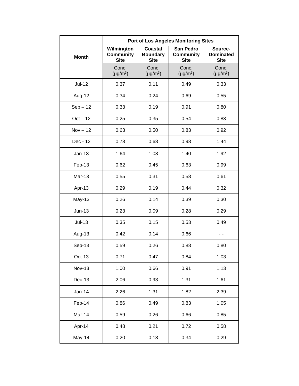|               | <b>Port of Los Angeles Monitoring Sites</b>   |                                                  |                                                     |                                            |  |
|---------------|-----------------------------------------------|--------------------------------------------------|-----------------------------------------------------|--------------------------------------------|--|
| <b>Month</b>  | Wilmington<br><b>Community</b><br><b>Site</b> | <b>Coastal</b><br><b>Boundary</b><br><b>Site</b> | <b>San Pedro</b><br><b>Community</b><br><b>Site</b> | Source-<br><b>Dominated</b><br><b>Site</b> |  |
|               | Conc.<br>$(\mu g/m^3)$                        | Conc.<br>$(\mu g/m^3)$                           | Conc.<br>$(\mu g/m^3)$                              | Conc.<br>$(\mu g/m^3)$                     |  |
| <b>Jul-12</b> | 0.37                                          | 0.11                                             | 0.49                                                | 0.33                                       |  |
| Aug-12        | 0.34                                          | 0.24                                             | 0.69                                                | 0.55                                       |  |
| $Sep-12$      | 0.33                                          | 0.19                                             | 0.91                                                | 0.80                                       |  |
| $Oct - 12$    | 0.25                                          | 0.35                                             | 0.54                                                | 0.83                                       |  |
| $Nov - 12$    | 0.63                                          | 0.50                                             | 0.83                                                | 0.92                                       |  |
| Dec - 12      | 0.78                                          | 0.68                                             | 0.98                                                | 1.44                                       |  |
| $Jan-13$      | 1.64                                          | 1.08                                             | 1.40                                                | 1.92                                       |  |
| Feb-13        | 0.62                                          | 0.45                                             | 0.63                                                | 0.99                                       |  |
| Mar-13        | 0.55                                          | 0.31                                             | 0.58                                                | 0.61                                       |  |
| Apr-13        | 0.29                                          | 0.19                                             | 0.44                                                | 0.32                                       |  |
| $May-13$      | 0.26                                          | 0.14                                             | 0.39                                                | 0.30                                       |  |
| $Jun-13$      | 0.23                                          | 0.09                                             | 0.28                                                | 0.29                                       |  |
| $Jul-13$      | 0.35                                          | 0.15                                             | 0.53                                                | 0.49                                       |  |
| Aug-13        | 0.42                                          | 0.14                                             | 0.66                                                | - -                                        |  |
| Sep-13        | 0.59                                          | 0.26                                             | 0.88                                                | 0.80                                       |  |
| Oct-13        | 0.71                                          | 0.47                                             | 0.84                                                | 1.03                                       |  |
| <b>Nov-13</b> | 1.00                                          | 0.66                                             | 0.91                                                | 1.13                                       |  |
| $Dec-13$      | 2.06                                          | 0.93                                             | 1.31                                                | 1.61                                       |  |
| $Jan-14$      | 2.26                                          | 1.31                                             | 1.82                                                | 2.39                                       |  |
| Feb-14        | 0.86                                          | 0.49                                             | 0.83                                                | 1.05                                       |  |
| Mar-14        | 0.59                                          | 0.26                                             | 0.66                                                | 0.85                                       |  |
| Apr-14        | 0.48                                          | 0.21                                             | 0.72                                                | 0.58                                       |  |
| May-14        | 0.20                                          | 0.18                                             | 0.34                                                | 0.29                                       |  |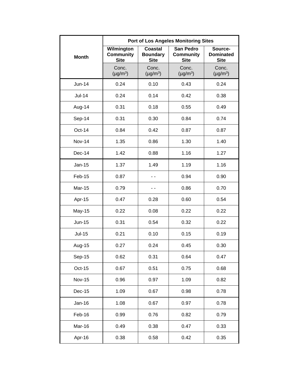|               | <b>Port of Los Angeles Monitoring Sites</b>   |                                                  |                                                     |                                            |  |
|---------------|-----------------------------------------------|--------------------------------------------------|-----------------------------------------------------|--------------------------------------------|--|
| <b>Month</b>  | Wilmington<br><b>Community</b><br><b>Site</b> | <b>Coastal</b><br><b>Boundary</b><br><b>Site</b> | <b>San Pedro</b><br><b>Community</b><br><b>Site</b> | Source-<br><b>Dominated</b><br><b>Site</b> |  |
|               | Conc.<br>$(\mu g/m^3)$                        | Conc.<br>$(\mu g/m^3)$                           | Conc.<br>$(\mu g/m^3)$                              | Conc.<br>$(\mu g/m^3)$                     |  |
| Jun-14        | 0.24                                          | 0.10                                             | 0.43                                                | 0.24                                       |  |
| $Jul-14$      | 0.24                                          | 0.14                                             | 0.42                                                | 0.38                                       |  |
| Aug-14        | 0.31                                          | 0.18                                             | 0.55                                                | 0.49                                       |  |
| Sep-14        | 0.31                                          | 0.30                                             | 0.84                                                | 0.74                                       |  |
| Oct-14        | 0.84                                          | 0.42                                             | 0.87                                                | 0.87                                       |  |
| <b>Nov-14</b> | 1.35                                          | 0.86                                             | 1.30                                                | 1.40                                       |  |
| Dec-14        | 1.42                                          | 0.88                                             | 1.16                                                | 1.27                                       |  |
| $Jan-15$      | 1.37                                          | 1.49                                             | 1.19                                                | 1.16                                       |  |
| Feb-15        | 0.87                                          |                                                  | 0.94                                                | 0.90                                       |  |
| <b>Mar-15</b> | 0.79                                          | - -                                              | 0.86                                                | 0.70                                       |  |
| Apr-15        | 0.47                                          | 0.28                                             | 0.60                                                | 0.54                                       |  |
| <b>May-15</b> | 0.22                                          | 0.08                                             | 0.22                                                | 0.22                                       |  |
| Jun-15        | 0.31                                          | 0.54                                             | 0.32                                                | 0.22                                       |  |
| $Jul-15$      | 0.21                                          | 0.10                                             | 0.15                                                | 0.19                                       |  |
| Aug-15        | 0.27                                          | 0.24                                             | 0.45                                                | 0.30                                       |  |
| Sep-15        | 0.62                                          | 0.31                                             | 0.64                                                | 0.47                                       |  |
| Oct-15        | 0.67                                          | 0.51                                             | 0.75                                                | 0.68                                       |  |
| <b>Nov-15</b> | 0.96                                          | 0.97                                             | 1.09                                                | 0.82                                       |  |
| Dec-15        | 1.09                                          | 0.67                                             | 0.98                                                | 0.78                                       |  |
| Jan-16        | 1.08                                          | 0.67                                             | 0.97                                                | 0.78                                       |  |
| Feb-16        | 0.99                                          | 0.76                                             | 0.82                                                | 0.79                                       |  |
| Mar-16        | 0.49                                          | 0.38                                             | 0.47                                                | 0.33                                       |  |
| Apr-16        | 0.38                                          | 0.58                                             | 0.42                                                | 0.35                                       |  |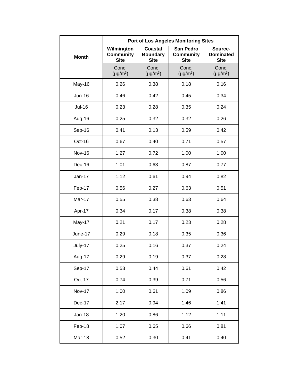|               | <b>Port of Los Angeles Monitoring Sites</b>   |                                                  |                                                     |                                            |  |
|---------------|-----------------------------------------------|--------------------------------------------------|-----------------------------------------------------|--------------------------------------------|--|
| <b>Month</b>  | Wilmington<br><b>Community</b><br><b>Site</b> | <b>Coastal</b><br><b>Boundary</b><br><b>Site</b> | <b>San Pedro</b><br><b>Community</b><br><b>Site</b> | Source-<br><b>Dominated</b><br><b>Site</b> |  |
|               | Conc.<br>$(\mu g/m^3)$                        | Conc.<br>$(\mu g/m^3)$                           | Conc.<br>$(\mu g/m^3)$                              | Conc.<br>$(\mu g/m^3)$                     |  |
| May-16        | 0.26                                          | 0.38                                             | 0.18                                                | 0.16                                       |  |
| Jun-16        | 0.46                                          | 0.42                                             | 0.45                                                | 0.34                                       |  |
| <b>Jul-16</b> | 0.23                                          | 0.28                                             | 0.35                                                | 0.24                                       |  |
| Aug-16        | 0.25                                          | 0.32                                             | 0.32                                                | 0.26                                       |  |
| Sep-16        | 0.41                                          | 0.13                                             | 0.59                                                | 0.42                                       |  |
| Oct-16        | 0.67                                          | 0.40                                             | 0.71                                                | 0.57                                       |  |
| <b>Nov-16</b> | 1.27                                          | 0.72                                             | 1.00                                                | 1.00                                       |  |
| Dec-16        | 1.01                                          | 0.63                                             | 0.87                                                | 0.77                                       |  |
| Jan-17        | 1.12                                          | 0.61                                             | 0.94                                                | 0.82                                       |  |
| Feb-17        | 0.56                                          | 0.27                                             | 0.63                                                | 0.51                                       |  |
| Mar-17        | 0.55                                          | 0.38                                             | 0.63                                                | 0.64                                       |  |
| Apr-17        | 0.34                                          | 0.17                                             | 0.38                                                | 0.38                                       |  |
| May-17        | 0.21                                          | 0.17                                             | 0.23                                                | 0.28                                       |  |
| June-17       | 0.29                                          | 0.18                                             | 0.35                                                | 0.36                                       |  |
| July-17       | 0.25                                          | 0.16                                             | 0.37                                                | 0.24                                       |  |
| Aug-17        | 0.29                                          | 0.19                                             | 0.37                                                | 0.28                                       |  |
| Sep-17        | 0.53                                          | 0.44                                             | 0.61                                                | 0.42                                       |  |
| Oct-17        | 0.74                                          | 0.39                                             | 0.71                                                | 0.56                                       |  |
| <b>Nov-17</b> | 1.00                                          | 0.61                                             | 1.09                                                | 0.86                                       |  |
| Dec-17        | 2.17                                          | 0.94                                             | 1.46                                                | 1.41                                       |  |
| <b>Jan-18</b> | 1.20                                          | 0.86                                             | 1.12                                                | 1.11                                       |  |
| Feb-18        | 1.07                                          | 0.65                                             | 0.66                                                | 0.81                                       |  |
| Mar-18        | 0.52                                          | 0.30                                             | 0.41                                                | 0.40                                       |  |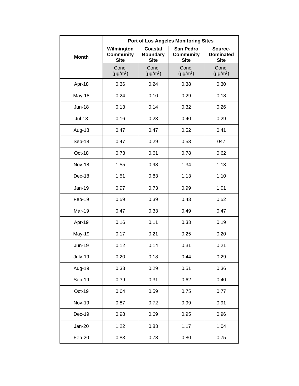|               | <b>Port of Los Angeles Monitoring Sites</b>   |                                                  |                                                     |                                            |  |
|---------------|-----------------------------------------------|--------------------------------------------------|-----------------------------------------------------|--------------------------------------------|--|
| <b>Month</b>  | Wilmington<br><b>Community</b><br><b>Site</b> | <b>Coastal</b><br><b>Boundary</b><br><b>Site</b> | <b>San Pedro</b><br><b>Community</b><br><b>Site</b> | Source-<br><b>Dominated</b><br><b>Site</b> |  |
|               | Conc.<br>$(\mu g/m^3)$                        | Conc.<br>$(\mu g/m^3)$                           | Conc.<br>$(\mu g/m^3)$                              | Conc.<br>$(\mu g/m^3)$                     |  |
| Apr-18        | 0.36                                          | 0.24                                             | 0.38                                                | 0.30                                       |  |
| May-18        | 0.24                                          | 0.10                                             | 0.29                                                | 0.18                                       |  |
| <b>Jun-18</b> | 0.13                                          | 0.14                                             | 0.32                                                | 0.26                                       |  |
| <b>Jul-18</b> | 0.16                                          | 0.23                                             | 0.40                                                | 0.29                                       |  |
| Aug-18        | 0.47                                          | 0.47                                             | 0.52                                                | 0.41                                       |  |
| Sep-18        | 0.47                                          | 0.29                                             | 0.53                                                | 047                                        |  |
| Oct-18        | 0.73                                          | 0.61                                             | 0.78                                                | 0.62                                       |  |
| <b>Nov-18</b> | 1.55                                          | 0.98                                             | 1.34                                                | 1.13                                       |  |
| Dec-18        | 1.51                                          | 0.83                                             | 1.13                                                | 1.10                                       |  |
| Jan-19        | 0.97                                          | 0.73                                             | 0.99                                                | 1.01                                       |  |
| Feb-19        | 0.59                                          | 0.39                                             | 0.43                                                | 0.52                                       |  |
| <b>Mar-19</b> | 0.47                                          | 0.33                                             | 0.49                                                | 0.47                                       |  |
| Apr-19        | 0.16                                          | 0.11                                             | 0.33                                                | 0.19                                       |  |
| <b>May-19</b> | 0.17                                          | 0.21                                             | 0.25                                                | 0.20                                       |  |
| <b>Jun-19</b> | 0.12                                          | 0.14                                             | 0.31                                                | 0.21                                       |  |
| July-19       | 0.20                                          | 0.18                                             | 0.44                                                | 0.29                                       |  |
| Aug-19        | 0.33                                          | 0.29                                             | 0.51                                                | 0.36                                       |  |
| Sep-19        | 0.39                                          | 0.31                                             | 0.62                                                | 0.40                                       |  |
| Oct-19        | 0.64                                          | 0.59                                             | 0.75                                                | 0.77                                       |  |
| <b>Nov-19</b> | 0.87                                          | 0.72                                             | 0.99                                                | 0.91                                       |  |
| Dec-19        | 0.98                                          | 0.69                                             | 0.95                                                | 0.96                                       |  |
| Jan-20        | 1.22                                          | 0.83                                             | 1.17                                                | 1.04                                       |  |
| Feb-20        | 0.83                                          | 0.78                                             | 0.80                                                | 0.75                                       |  |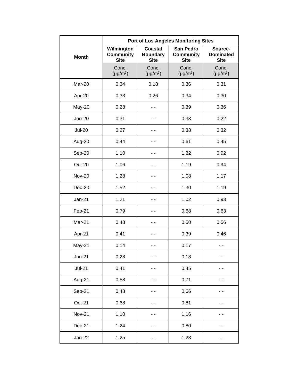|               | <b>Port of Los Angeles Monitoring Sites</b>   |                                           |                                              |                                            |  |
|---------------|-----------------------------------------------|-------------------------------------------|----------------------------------------------|--------------------------------------------|--|
| <b>Month</b>  | Wilmington<br><b>Community</b><br><b>Site</b> | Coastal<br><b>Boundary</b><br><b>Site</b> | San Pedro<br><b>Community</b><br><b>Site</b> | Source-<br><b>Dominated</b><br><b>Site</b> |  |
|               | Conc.<br>$(\mu g/m^3)$                        | Conc.<br>$(\mu g/m^3)$                    | Conc.<br>$(\mu g/m^3)$                       | Conc.<br>$(\mu g/m^3)$                     |  |
| Mar-20        | 0.34                                          | 0.18                                      | 0.36                                         | 0.31                                       |  |
| Apr-20        | 0.33                                          | 0.26                                      | 0.34                                         | 0.30                                       |  |
| May-20        | 0.28                                          |                                           | 0.39                                         | 0.36                                       |  |
| <b>Jun-20</b> | 0.31                                          |                                           | 0.33                                         | 0.22                                       |  |
| <b>Jul-20</b> | 0.27                                          |                                           | 0.38                                         | 0.32                                       |  |
| Aug-20        | 0.44                                          | . .                                       | 0.61                                         | 0.45                                       |  |
| Sep-20        | 1.10                                          |                                           | 1.32                                         | 0.92                                       |  |
| Oct-20        | 1.06                                          |                                           | 1.19                                         | 0.94                                       |  |
| <b>Nov-20</b> | 1.28                                          |                                           | 1.08                                         | 1.17                                       |  |
| Dec-20        | 1.52                                          |                                           | 1.30                                         | 1.19                                       |  |
| <b>Jan-21</b> | 1.21                                          | . .                                       | 1.02                                         | 0.93                                       |  |
| Feb-21        | 0.79                                          |                                           | 0.68                                         | 0.63                                       |  |
| Mar-21        | 0.43                                          |                                           | 0.50                                         | 0.56                                       |  |
| Apr-21        | 0.41                                          |                                           | 0.39                                         | 0.46                                       |  |
| May-21        | 0.14                                          | . .                                       | 0.17                                         |                                            |  |
| <b>Jun-21</b> | 0.28                                          |                                           | 0.18                                         |                                            |  |
| $Jul-21$      | 0.41                                          |                                           | 0.45                                         |                                            |  |
| Aug-21        | 0.58                                          |                                           | 0.71                                         |                                            |  |
| Sep-21        | 0.48                                          |                                           | 0.66                                         |                                            |  |
| Oct-21        | 0.68                                          |                                           | 0.81                                         |                                            |  |
| <b>Nov-21</b> | 1.10                                          |                                           | 1.16                                         |                                            |  |
| Dec-21        | 1.24                                          |                                           | 0.80                                         |                                            |  |
| <b>Jan-22</b> | 1.25                                          |                                           | 1.23                                         |                                            |  |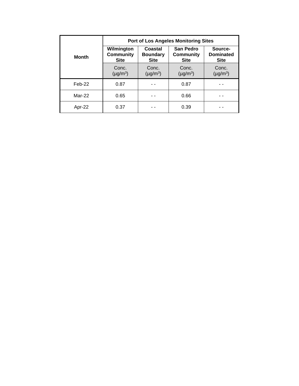|              | <b>Port of Los Angeles Monitoring Sites</b>   |                                           |                                              |                                            |  |
|--------------|-----------------------------------------------|-------------------------------------------|----------------------------------------------|--------------------------------------------|--|
| <b>Month</b> | Wilmington<br><b>Community</b><br><b>Site</b> | Coastal<br><b>Boundary</b><br><b>Site</b> | San Pedro<br><b>Community</b><br><b>Site</b> | Source-<br><b>Dominated</b><br><b>Site</b> |  |
|              | Conc.<br>$(\mu g/m^3)$                        | Conc.<br>$(\mu g/m^3)$                    | Conc.<br>$(\mu g/m^3)$                       | Conc.<br>$(\mu g/m^3)$                     |  |
| $Feb-22$     | 0.87                                          |                                           | 0.87                                         |                                            |  |
| Mar-22       | 0.65                                          |                                           | 0.66                                         |                                            |  |
| Apr-22       | 0.37                                          |                                           | 0.39                                         |                                            |  |